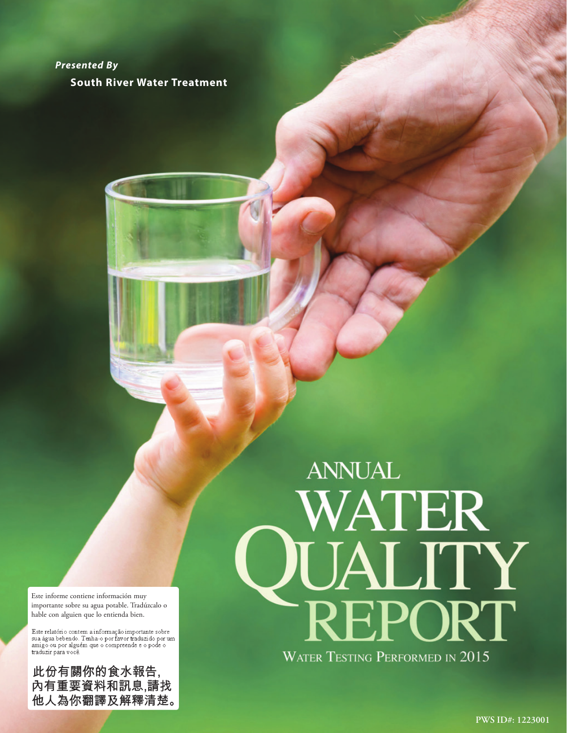*Presented By*  **South River Water Treatment**

Este informe contiene información muy importante sobre su agua potable. Tradúzcalo o hable con alguien que lo entienda bien.

Este relatório contem a informação importante sobre<br>sua água bebendo. Tenha-o por favor traduzido por um<br>amigo ou por alguém que o compreende e o pode o traduzir para você.

此份有關你的食水報告,<br>內有重要資料和訊息,請找 他人為你翻譯及解釋清楚。

# **ANNUAL** WATER QUALITY **WATER TESTING PERFORMED IN 2015**

**PWS ID#: XX PWS ID#: 1223001**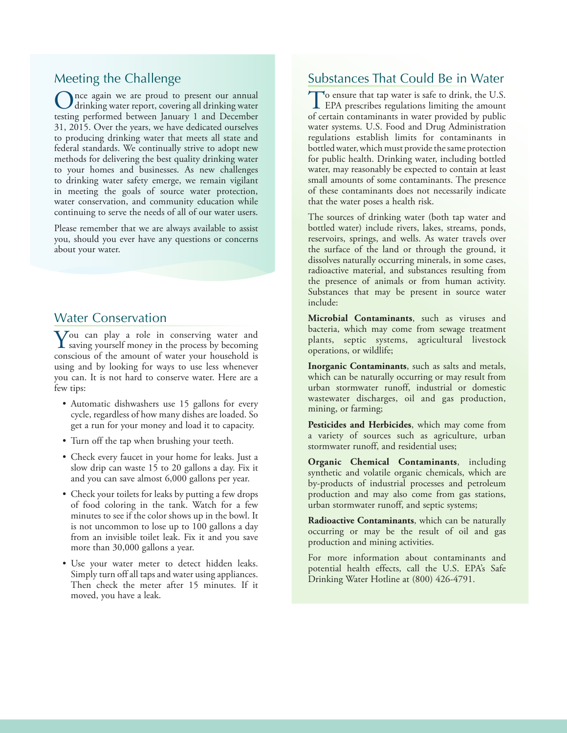# Meeting the Challenge

Once again we are proud to present our annual drinking water report, covering all drinking water testing performed between January 1 and December 31, 2015. Over the years, we have dedicated ourselves to producing drinking water that meets all state and federal standards. We continually strive to adopt new methods for delivering the best quality drinking water to your homes and businesses. As new challenges to drinking water safety emerge, we remain vigilant in meeting the goals of source water protection, water conservation, and community education while continuing to serve the needs of all of our water users.

Please remember that we are always available to assist you, should you ever have any questions or concerns about your water.

# Water Conservation

 $\sum$  ou can play a role in conserving water and saving yourself money in the process by becoming conscious of the amount of water your household is using and by looking for ways to use less whenever you can. It is not hard to conserve water. Here are a few tips:

- Automatic dishwashers use 15 gallons for every cycle, regardless of how many dishes are loaded. So get a run for your money and load it to capacity.
- Turn off the tap when brushing your teeth.
- Check every faucet in your home for leaks. Just a slow drip can waste 15 to 20 gallons a day. Fix it and you can save almost 6,000 gallons per year.
- Check your toilets for leaks by putting a few drops of food coloring in the tank. Watch for a few minutes to see if the color shows up in the bowl. It is not uncommon to lose up to 100 gallons a day from an invisible toilet leak. Fix it and you save more than 30,000 gallons a year.
- Use your water meter to detect hidden leaks. Simply turn off all taps and water using appliances. Then check the meter after 15 minutes. If it moved, you have a leak.

# Substances That Could Be in Water

To ensure that tap water is safe to drink, the U.S.<br>EPA prescribes regulations limiting the amount of certain contaminants in water provided by public water systems. U.S. Food and Drug Administration regulations establish limits for contaminants in bottled water, which must provide the same protection for public health. Drinking water, including bottled water, may reasonably be expected to contain at least small amounts of some contaminants. The presence of these contaminants does not necessarily indicate that the water poses a health risk.

The sources of drinking water (both tap water and bottled water) include rivers, lakes, streams, ponds, reservoirs, springs, and wells. As water travels over the surface of the land or through the ground, it dissolves naturally occurring minerals, in some cases, radioactive material, and substances resulting from the presence of animals or from human activity. Substances that may be present in source water include:

**Microbial Contaminants**, such as viruses and bacteria, which may come from sewage treatment plants, septic systems, agricultural livestock operations, or wildlife;

**Inorganic Contaminants**, such as salts and metals, which can be naturally occurring or may result from urban stormwater runoff, industrial or domestic wastewater discharges, oil and gas production, mining, or farming;

**Pesticides and Herbicides**, which may come from a variety of sources such as agriculture, urban stormwater runoff, and residential uses;

**Organic Chemical Contaminants**, including synthetic and volatile organic chemicals, which are by-products of industrial processes and petroleum production and may also come from gas stations, urban stormwater runoff, and septic systems;

**Radioactive Contaminants**, which can be naturally occurring or may be the result of oil and gas production and mining activities.

For more information about contaminants and potential health effects, call the U.S. EPA's Safe Drinking Water Hotline at (800) 426-4791.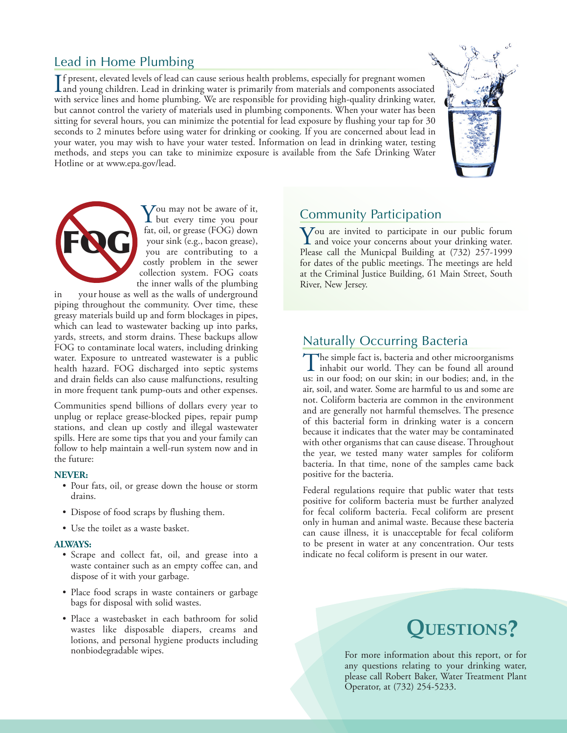# Lead in Home Plumbing

If present, elevated levels of lead can cause serious health problems, especially for pregnant women<br>and young children. Lead in drinking water is primarily from materials and components associated<br>it has provided been adm f present, elevated levels of lead can cause serious health problems, especially for pregnant women with service lines and home plumbing. We are responsible for providing high-quality drinking water, but cannot control the variety of materials used in plumbing components. When your water has been sitting for several hours, you can minimize the potential for lead exposure by flushing your tap for 30 seconds to 2 minutes before using water for drinking or cooking. If you are concerned about lead in your water, you may wish to have your water tested. Information on lead in drinking water, testing methods, and steps you can take to minimize exposure is available from the Safe Drinking Water Hotline or at www.epa.gov/lead.





 $\sum_{\text{but every time you pour}}$ fat, oil, or grease (FOG) down your sink (e.g., bacon grease), you are contributing to a costly problem in the sewer collection system. FOG coats the inner walls of the plumbing

in your house as well as the walls of underground piping throughout the community. Over time, these greasy materials build up and form blockages in pipes, which can lead to wastewater backing up into parks, yards, streets, and storm drains. These backups allow FOG to contaminate local waters, including drinking water. Exposure to untreated wastewater is a public health hazard. FOG discharged into septic systems and drain fields can also cause malfunctions, resulting in more frequent tank pump-outs and other expenses.

Communities spend billions of dollars every year to unplug or replace grease-blocked pipes, repair pump stations, and clean up costly and illegal wastewater spills. Here are some tips that you and your family can follow to help maintain a well-run system now and in the future:

#### **NEVER:**

- Pour fats, oil, or grease down the house or storm drains.
- Dispose of food scraps by flushing them.
- Use the toilet as a waste basket.

#### **ALWAYS:**

- Scrape and collect fat, oil, and grease into a waste container such as an empty coffee can, and dispose of it with your garbage.
- Place food scraps in waste containers or garbage bags for disposal with solid wastes.
- Place a wastebasket in each bathroom for solid wastes like disposable diapers, creams and lotions, and personal hygiene products including nonbiodegradable wipes.

# Community Participation

You are invited to participate in our public forum **L** and voice your concerns about your drinking water. Please call the Municpal Building at (732) 257-1999 for dates of the public meetings. The meetings are held at the Criminal Justice Building, 61 Main Street, South River, New Jersey.

# Naturally Occurring Bacteria

The simple fact is, bacteria and other microorganisms<br>inhabit our world. They can be found all around<br>in the simple of a ground bit in the bit of the bit of the site us: in our food; on our skin; in our bodies; and, in the air, soil, and water. Some are harmful to us and some are not. Coliform bacteria are common in the environment and are generally not harmful themselves. The presence of this bacterial form in drinking water is a concern because it indicates that the water may be contaminated with other organisms that can cause disease. Throughout the year, we tested many water samples for coliform bacteria. In that time, none of the samples came back positive for the bacteria.

Federal regulations require that public water that tests positive for coliform bacteria must be further analyzed for fecal coliform bacteria. Fecal coliform are present only in human and animal waste. Because these bacteria can cause illness, it is unacceptable for fecal coliform to be present in water at any concentration. Our tests indicate no fecal coliform is present in our water.

# **Questions?**

For more information about this report, or for any questions relating to your drinking water, please call Robert Baker, Water Treatment Plant Operator, at (732) 254-5233.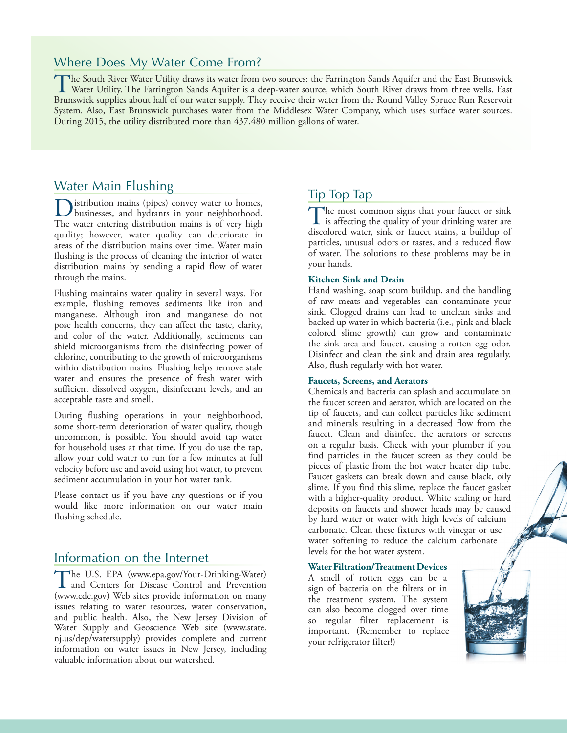### Where Does My Water Come From?

The South River Water Utility draws its water from two sources: the Farrington Sands Aquifer and the East Brunswick<br>Water Utility. The Farrington Sands Aquifer is a deep-water source, which South River draws from three wel Brunswick supplies about half of our water supply. They receive their water from the Round Valley Spruce Run Reservoir System. Also, East Brunswick purchases water from the Middlesex Water Company, which uses surface water sources. During 2015, the utility distributed more than 437,480 million gallons of water.

# Water Main Flushing

Distribution mains (pipes) convey water to homes, businesses, and hydrants in your neighborhood. The water entering distribution mains is of very high quality; however, water quality can deteriorate in areas of the distribution mains over time. Water main flushing is the process of cleaning the interior of water distribution mains by sending a rapid flow of water through the mains.

Flushing maintains water quality in several ways. For example, flushing removes sediments like iron and manganese. Although iron and manganese do not pose health concerns, they can affect the taste, clarity, and color of the water. Additionally, sediments can shield microorganisms from the disinfecting power of chlorine, contributing to the growth of microorganisms within distribution mains. Flushing helps remove stale water and ensures the presence of fresh water with sufficient dissolved oxygen, disinfectant levels, and an acceptable taste and smell.

During flushing operations in your neighborhood, some short-term deterioration of water quality, though uncommon, is possible. You should avoid tap water for household uses at that time. If you do use the tap, allow your cold water to run for a few minutes at full velocity before use and avoid using hot water, to prevent sediment accumulation in your hot water tank.

Please contact us if you have any questions or if you would like more information on our water main flushing schedule.

# Information on the Internet

The U.S. EPA (www.epa.gov/Your-Drinking-Water) and Centers for Disease Control and Prevention (www.cdc.gov) Web sites provide information on many issues relating to water resources, water conservation, and public health. Also, the New Jersey Division of Water Supply and Geoscience Web site (www.state. nj.us/dep/watersupply) provides complete and current information on water issues in New Jersey, including valuable information about our watershed.

# Tip Top Tap

The most common signs that your faucet or sink<br>is affecting the quality of your drinking water are<br>disologed muses sight or faucet existence building of discolored water, sink or faucet stains, a buildup of particles, unusual odors or tastes, and a reduced flow of water. The solutions to these problems may be in your hands.

#### **Kitchen Sink and Drain**

Hand washing, soap scum buildup, and the handling of raw meats and vegetables can contaminate your sink. Clogged drains can lead to unclean sinks and backed up water in which bacteria (i.e., pink and black colored slime growth) can grow and contaminate the sink area and faucet, causing a rotten egg odor. Disinfect and clean the sink and drain area regularly. Also, flush regularly with hot water.

#### **Faucets, Screens, and Aerators**

Chemicals and bacteria can splash and accumulate on the faucet screen and aerator, which are located on the tip of faucets, and can collect particles like sediment and minerals resulting in a decreased flow from the faucet. Clean and disinfect the aerators or screens on a regular basis. Check with your plumber if you find particles in the faucet screen as they could be pieces of plastic from the hot water heater dip tube. Faucet gaskets can break down and cause black, oily slime. If you find this slime, replace the faucet gasket with a higher-quality product. White scaling or hard deposits on faucets and shower heads may be caused by hard water or water with high levels of calcium carbonate. Clean these fixtures with vinegar or use water softening to reduce the calcium carbonate levels for the hot water system.

#### **Water Filtration/Treatment Devices**

A smell of rotten eggs can be a sign of bacteria on the filters or in the treatment system. The system can also become clogged over time so regular filter replacement is important. (Remember to replace your refrigerator filter!)